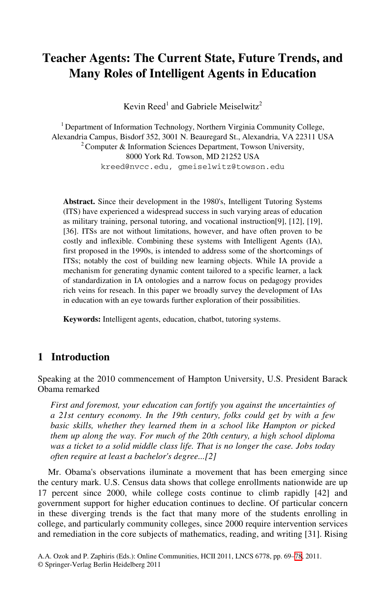# **Teacher Agents: The Current State, Future Trends, and Many Roles of Intelligent Agents in Education**

Kevin Reed<sup>1</sup> and Gabriele Meiselwitz<sup>2</sup>

 $1$  Department of Information Technology, Northern Virginia Community College, Alexandria Campus, Bisdorf 352, 3001 N. Beauregard St., Alexandria, VA 22311 USA 2 Computer & Information Sciences Department, Towson University, 8000 York Rd. Towson, MD 21252 USA kreed@nvcc.edu, gmeiselwitz@towson.edu

**Abstract.** Since their development in the 1980's, Intelligent Tutoring Systems (ITS) have experienced a widespread success in such varying areas of education as military training, personal tutoring, and vocational instruction[9], [12], [19], [36]. ITSs are not without limitations, however, and have often proven to be costly and inflexible. Combining these systems with Intelligent Agents (IA), first proposed in the 1990s, is intended to address some of the shortcomings of ITSs; notably the cost of building new learning objects. While IA provide a mechanism for generating dynamic content tailored to a specific learner, a lack of standardization in IA ontologies and a narrow focus on pedagogy provides rich veins for reseach. In this paper we broadly survey the development of IAs in education with an eye towards further exploration of their possibilities.

**Keywords:** Intelligent agents, education, chatbot, tutoring systems.

## **1 Introduction**

Speaking at the 2010 commencement of Hampton University, U.S. President Barack Obama remarked

*First and foremost, your education can fortify you against the uncertainties of a 21st century economy. In the 19th century, folks could get by with a few basic skills, whether they learned them in a school like Hampton or picked them up along the way. For much of the 20th century, a high school diploma was a ticket to a solid middle class life. That is no longer the case. Jobs today often require at least a bachelor's degree...[2]*

Mr. Obama's observations iluminate a move[men](#page-9-0)t that has been emerging since the century mark. U.S. Census data shows that college enrollments nationwide are up 17 percent since 2000, while college costs continue to climb rapidly [42] and government support for higher education continues to decline. Of particular concern in these diverging trends is the fact that many more of the students enrolling in college, and particularly community colleges, since 2000 require intervention services and remediation in the core subjects of mathematics, reading, and writing [31]. Rising

A.A. Ozok and P. Zaphiris (Eds.): Online Communities, HCII 2011, LNCS 6778, pp. 69–78, 2011. © Springer-Verlag Berlin Heidelberg 2011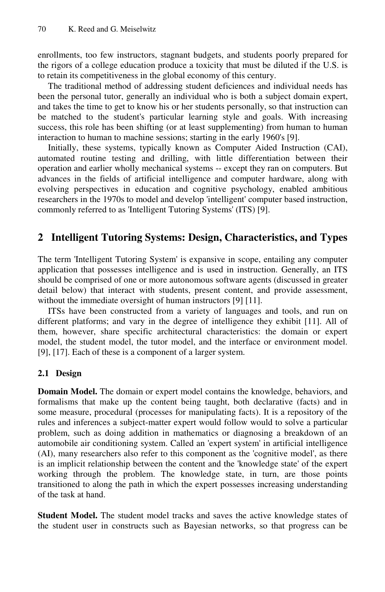enrollments, too few instructors, stagnant budgets, and students poorly prepared for the rigors of a college education produce a toxicity that must be diluted if the U.S. is to retain its competitiveness in the global economy of this century.

The traditional method of addressing student deficiences and individual needs has been the personal tutor, generally an individual who is both a subject domain expert, and takes the time to get to know his or her students personally, so that instruction can be matched to the student's particular learning style and goals. With increasing success, this role has been shifting (or at least supplementing) from human to human interaction to human to machine sessions; starting in the early 1960's [9].

Initially, these systems, typically known as Computer Aided Instruction (CAI), automated routine testing and drilling, with little differentiation between their operation and earlier wholly mechanical systems -- except they ran on computers. But advances in the fields of artificial intelligence and computer hardware, along with evolving perspectives in education and cognitive psychology, enabled ambitious researchers in the 1970s to model and develop 'intelligent' computer based instruction, commonly referred to as 'Intelligent Tutoring Systems' (ITS) [9].

## **2 Intelligent Tutoring Systems: Design, Characteristics, and Types**

The term 'Intelligent Tutoring System' is expansive in scope, entailing any computer application that possesses intelligence and is used in instruction. Generally, an ITS should be comprised of one or more autonomous software agents (discussed in greater detail below) that interact with students, present content, and provide assessment, without the immediate oversight of human instructors [9] [11].

ITSs have been constructed from a variety of languages and tools, and run on different platforms; and vary in the degree of intelligence they exhibit [11]. All of them, however, share specific architectural characteristics: the domain or expert model, the student model, the tutor model, and the interface or environment model. [9], [17]. Each of these is a component of a larger system.

#### **2.1 Design**

**Domain Model.** The domain or expert model contains the knowledge, behaviors, and formalisms that make up the content being taught, both declarative (facts) and in some measure, procedural (processes for manipulating facts). It is a repository of the rules and inferences a subject-matter expert would follow would to solve a particular problem, such as doing addition in mathematics or diagnosing a breakdown of an automobile air conditioning system. Called an 'expert system' in artificial intelligence (AI), many researchers also refer to this component as the 'cognitive model', as there is an implicit relationship between the content and the 'knowledge state' of the expert working through the problem. The knowledge state, in turn, are those points transitioned to along the path in which the expert possesses increasing understanding of the task at hand.

**Student Model.** The student model tracks and saves the active knowledge states of the student user in constructs such as Bayesian networks, so that progress can be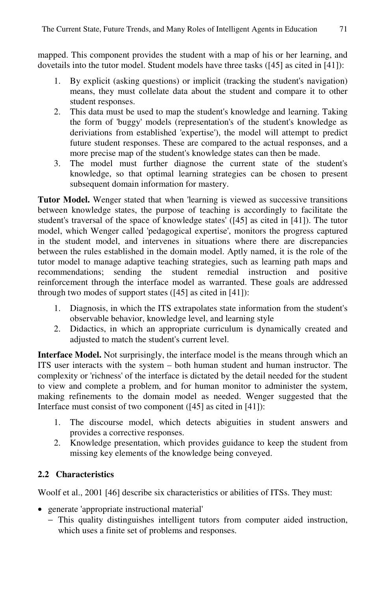mapped. This component provides the student with a map of his or her learning, and dovetails into the tutor model. Student models have three tasks ([45] as cited in [41]):

- 1. By explicit (asking questions) or implicit (tracking the student's navigation) means, they must collelate data about the student and compare it to other student responses.
- 2. This data must be used to map the student's knowledge and learning. Taking the form of 'buggy' models (representation's of the student's knowledge as deriviations from established 'expertise'), the model will attempt to predict future student responses. These are compared to the actual responses, and a more precise map of the student's knowledge states can then be made.
- 3. The model must further diagnose the current state of the student's knowledge, so that optimal learning strategies can be chosen to present subsequent domain information for mastery.

**Tutor Model.** Wenger stated that when 'learning is viewed as successive transitions between knowledge states, the purpose of teaching is accordingly to facilitate the student's traversal of the space of knowledge states' ([45] as cited in [41]). The tutor model, which Wenger called 'pedagogical expertise', monitors the progress captured in the student model, and intervenes in situations where there are discrepancies between the rules established in the domain model. Aptly named, it is the role of the tutor model to manage adaptive teaching strategies, such as learning path maps and recommendations; sending the student remedial instruction and positive reinforcement through the interface model as warranted. These goals are addressed through two modes of support states ([45] as cited in [41]):

- 1. Diagnosis, in which the ITS extrapolates state information from the student's observable behavior, knowledge level, and learning style
- 2. Didactics, in which an appropriate curriculum is dynamically created and adjusted to match the student's current level.

**Interface Model.** Not surprisingly, the interface model is the means through which an ITS user interacts with the system – both human student and human instructor. The complexity or 'richness' of the interface is dictated by the detail needed for the student to view and complete a problem, and for human monitor to administer the system, making refinements to the domain model as needed. Wenger suggested that the Interface must consist of two component ([45] as cited in [41]):

- 1. The discourse model, which detects abiguities in student answers and provides a corrective responses.
- 2. Knowledge presentation, which provides guidance to keep the student from missing key elements of the knowledge being conveyed.

## **2.2 Characteristics**

Woolf et al., 2001 [46] describe six characteristics or abilities of ITSs. They must:

- generate 'appropriate instructional material'
	- − This quality distinguishes intelligent tutors from computer aided instruction, which uses a finite set of problems and responses.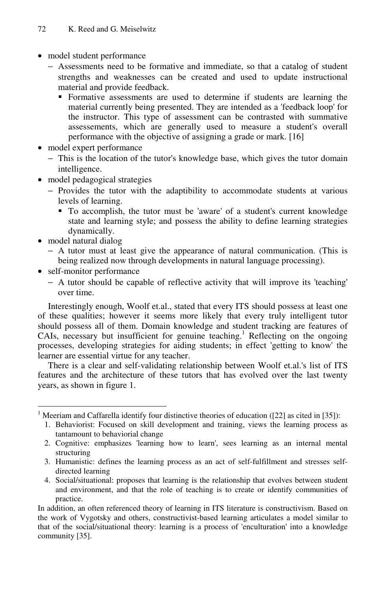- model student performance
	- − Assessments need to be formative and immediate, so that a catalog of student strengths and weaknesses can be created and used to update instructional material and provide feedback.
		- Formative assessments are used to determine if students are learning the material currently being presented. They are intended as a 'feedback loop' for the instructor. This type of assessment can be contrasted with summative assessements, which are generally used to measure a student's overall performance with the objective of assigning a grade or mark. [16]
- model expert performance
	- − This is the location of the tutor's knowledge base, which gives the tutor domain intelligence.
- model pedagogical strategies
	- − Provides the tutor with the adaptibility to accommodate students at various levels of learning.
		- To accomplish, the tutor must be 'aware' of a student's current knowledge state and learning style; and possess the ability to define learning strategies dynamically.
- model natural dialog
	- − A tutor must at least give the appearance of natural communication. (This is being realized now through developments in natural language processing).
- self-monitor performance
	- − A tutor should be capable of reflective activity that will improve its 'teaching' over time.

Interestingly enough, Woolf et.al., stated that every ITS should possess at least one of these qualities; however it seems more likely that every truly intelligent tutor should possess all of them. Domain knowledge and student tracking are features of CAIs, necessary but insufficient for genuine teaching.<sup>1</sup> Reflecting on the ongoing processes, developing strategies for aiding students; in effect 'getting to know' the learner are essential virtue for any teacher.

There is a clear and self-validating relationship between Woolf et.al.'s list of ITS features and the architecture of these tutors that has evolved over the last twenty years, as shown in figure 1.

1. Behaviorist: Focused on skill development and training, views the learning process as tantamount to behaviorial change

- 3. Humanistic: defines the learning process as an act of self-fulfillment and stresses selfdirected learning
- 4. Social/situational: proposes that learning is the relationship that evolves between student and environment, and that the role of teaching is to create or identify communities of practice.

In addition, an often referenced theory of learning in ITS literature is constructivism. Based on the work of Vygotsky and others, constructivist-based learning articulates a model similar to that of the social/situational theory: learning is a process of 'enculturation' into a knowledge community [35].

j <sup>1</sup> Meeriam and Caffarella identify four distinctive theories of education ([22] as cited in [35]):

<sup>2.</sup> Cognitive: emphasizes 'learning how to learn', sees learning as an internal mental structuring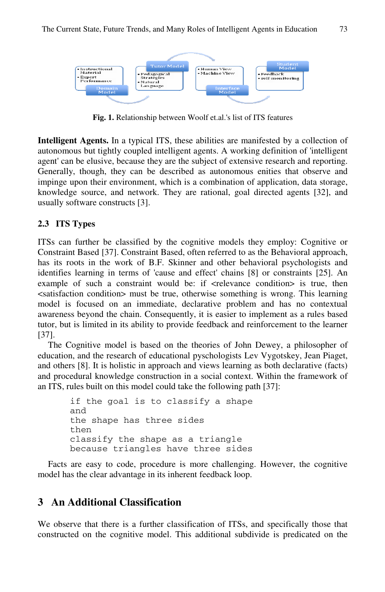

**Fig. 1.** Relationship between Woolf et.al.'s list of ITS features

**Intelligent Agents.** In a typical ITS, these abilities are manifested by a collection of autonomous but tightly coupled intelligent agents. A working definition of 'intelligent agent' can be elusive, because they are the subject of extensive research and reporting. Generally, though, they can be described as autonomous enities that observe and impinge upon their environment, which is a combination of application, data storage, knowledge source, and network. They are rational, goal directed agents [32], and usually software constructs [3].

#### **2.3 ITS Types**

ITSs can further be classified by the cognitive models they employ: Cognitive or Constraint Based [37]. Constraint Based, often referred to as the Behavioral approach, has its roots in the work of B.F. Skinner and other behavioral psychologists and identifies learning in terms of 'cause and effect' chains [8] or constraints [25]. An example of such a constraint would be: if  $\leq$  relevance condition is true, then <satisfaction condition> must be true, otherwise something is wrong. This learning model is focused on an immediate, declarative problem and has no contextual awareness beyond the chain. Consequently, it is easier to implement as a rules based tutor, but is limited in its ability to provide feedback and reinforcement to the learner [37].

The Cognitive model is based on the theories of John Dewey, a philosopher of education, and the research of educational pyschologists Lev Vygotskey, Jean Piaget, and others [8]. It is holistic in approach and views learning as both declarative (facts) and procedural knowledge construction in a social context. Within the framework of an ITS, rules built on this model could take the following path [37]:

```
if the goal is to classify a shape 
 and 
 the shape has three sides 
 then 
 classify the shape as a triangle 
 because triangles have three sides
```
Facts are easy to code, procedure is more challenging. However, the cognitive model has the clear advantage in its inherent feedback loop.

## **3 An Additional Classification**

We observe that there is a further classification of ITSs, and specifically those that constructed on the cognitive model. This additional subdivide is predicated on the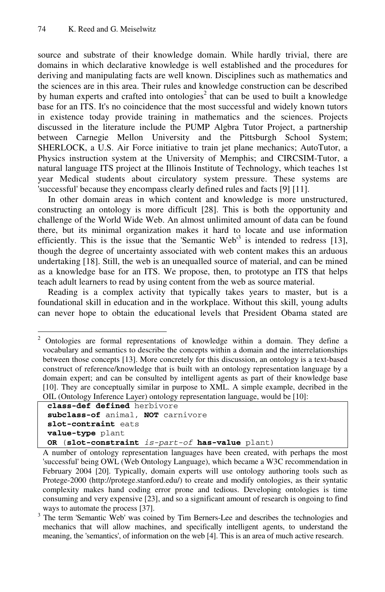source and substrate of their knowledge domain. While hardly trivial, there are domains in which declarative knowledge is well established and the procedures for deriving and manipulating facts are well known. Disciplines such as mathematics and the sciences are in this area. Their rules and knowledge construction can be described by human experts and crafted into ontologies<sup>2</sup> that can be used to built a knowledge base for an ITS. It's no coincidence that the most successful and widely known tutors in existence today provide training in mathematics and the sciences. Projects discussed in the literature include the PUMP Algbra Tutor Project, a partnership between Carnegie Mellon University and the Pittsburgh School System; SHERLOCK, a U.S. Air Force initiative to train jet plane mechanics; AutoTutor, a Physics instruction system at the University of Memphis; and CIRCSIM-Tutor, a natural language ITS project at the Illinois Institute of Technology, which teaches 1st year Medical students about circulatory system pressure. These systems are 'successful' because they encompass clearly defined rules and facts [9] [11].

In other domain areas in which content and knowledge is more unstructured, constructing an ontology is more difficult [28]. This is both the opportunity and challenge of the World Wide Web. An almost unlimited amount of data can be found there, but its minimal organization makes it hard to locate and use information efficiently. This is the issue that the 'Semantic  $Web<sup>3</sup>$  is intended to redress [13], though the degree of uncertainty associated with web content makes this an arduous undertaking [18]. Still, the web is an unequalled source of material, and can be mined as a knowledge base for an ITS. We propose, then, to prototype an ITS that helps teach adult learners to read by using content from the web as source material.

Reading is a complex activity that typically takes years to master, but is a foundational skill in education and in the workplace. Without this skill, young adults can never hope to obtain the educational levels that President Obama stated are

```
class-def defined herbivore 
subclass-of animal, NOT carnivore 
slot-contraint eats 
value-type plant 
OR (slot-constraint is-part-of has-value plant)
```
<sup>&</sup>lt;sup>2</sup> Ontologies are formal representations of knowledge within a domain. They define a vocabulary and semantics to describe the concepts within a domain and the interrelationships between those concepts [13]. More concretely for this discussion, an ontology is a text-based construct of reference/knowledge that is built with an ontology representation language by a domain expert; and can be consulted by intelligent agents as part of their knowledge base [10]. They are conceptually similar in purpose to XML. A simple example, decribed in the OIL (Ontology Inference Layer) ontology representation language, would be [10]:

A number of ontology representation languages have been created, with perhaps the most 'successful' being OWL (Web Ontology Language), which became a W3C recommendation in February 2004 [20]. Typically, domain experts will use ontology authoring tools such as Protege-2000 (http://protege.stanford.edu/) to create and modify ontologies, as their syntatic complexity makes hand coding error prone and tedious. Developing ontologies is time consuming and very expensive [23], and so a significant amount of research is ongoing to find ways to automate the process [37].

<sup>&</sup>lt;sup>3</sup> The term 'Semantic Web' was coined by Tim Berners-Lee and describes the technologies and mechanics that will allow machines, and specifically intelligent agents, to understand the meaning, the 'semantics', of information on the web [4]. This is an area of much active research.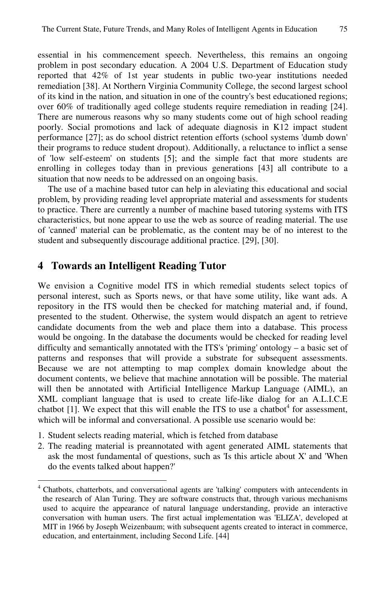essential in his commencement speech. Nevertheless, this remains an ongoing problem in post secondary education. A 2004 U.S. Department of Education study reported that 42% of 1st year students in public two-year institutions needed remediation [38]. At Northern Virginia Community College, the second largest school of its kind in the nation, and situation in one of the country's best educationed regions; over 60% of traditionally aged college students require remediation in reading [24]. There are numerous reasons why so many students come out of high school reading poorly. Social promotions and lack of adequate diagnosis in K12 impact student performance [27]; as do school district retention efforts (school systems 'dumb down' their programs to reduce student dropout). Additionally, a reluctance to inflict a sense of 'low self-esteem' on students [5]; and the simple fact that more students are enrolling in colleges today than in previous generations [43] all contribute to a situation that now needs to be addressed on an ongoing basis.

The use of a machine based tutor can help in aleviating this educational and social problem, by providing reading level appropriate material and assessments for students to practice. There are currently a number of machine based tutoring systems with ITS characteristics, but none appear to use the web as source of reading material. The use of 'canned' material can be problematic, as the content may be of no interest to the student and subsequently discourage additional practice. [29], [30].

#### **4 Towards an Intelligent Reading Tutor**

We envision a Cognitive model ITS in which remedial students select topics of personal interest, such as Sports news, or that have some utility, like want ads. A repository in the ITS would then be checked for matching material and, if found, presented to the student. Otherwise, the system would dispatch an agent to retrieve candidate documents from the web and place them into a database. This process would be ongoing. In the database the documents would be checked for reading level difficulty and semantically annotated with the ITS's 'priming' ontology – a basic set of patterns and responses that will provide a substrate for subsequent assessments. Because we are not attempting to map complex domain knowledge about the document contents, we believe that machine annotation will be possible. The material will then be annotated with Artificial Intelligence Markup Language (AIML), an XML compliant language that is used to create life-like dialog for an A.L.I.C.E chatbot  $[1]$ . We expect that this will enable the ITS to use a chatbot<sup>4</sup> for assessment, which will be informal and conversational. A possible use scenario would be:

1. Student selects reading material, which is fetched from database

-

2. The reading material is preannotated with agent generated AIML statements that ask the most fundamental of questions, such as 'Is this article about X' and 'When do the events talked about happen?'

<sup>&</sup>lt;sup>4</sup> Chatbots, chatterbots, and conversational agents are 'talking' computers with antecendents in the research of Alan Turing. They are software constructs that, through various mechanisms used to acquire the appearance of natural language understanding, provide an interactive conversation with human users. The first actual implementation was 'ELIZA', developed at MIT in 1966 by Joseph Weizenbaum; with subsequent agents created to interact in commerce, education, and entertainment, including Second Life. [44]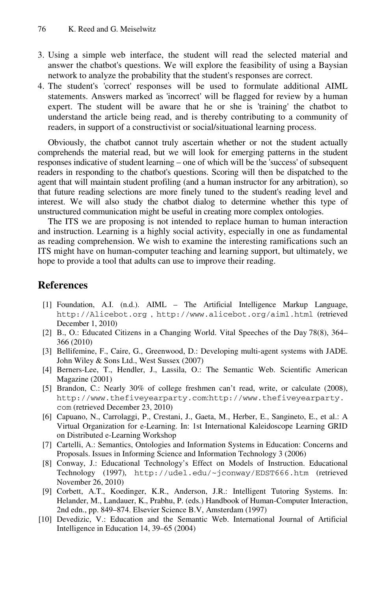- 3. Using a simple web interface, the student will read the selected material and answer the chatbot's questions. We will explore the feasibility of using a Baysian network to analyze the probability that the student's responses are correct.
- 4. The student's 'correct' responses will be used to formulate additional AIML statements. Answers marked as 'incorrect' will be flagged for review by a human expert. The student will be aware that he or she is 'training' the chatbot to understand the article being read, and is thereby contributing to a community of readers, in support of a constructivist or social/situational learning process.

Obviously, the chatbot cannot truly ascertain whether or not the student actually comprehends the material read, but we will look for emerging patterns in the student responses indicative of student learning – one of which will be the 'success' of subsequent readers in responding to the chatbot's questions. Scoring will then be dispatched to the agent that will maintain student profiling (and a human instructor for any arbitration), so that future reading selections are more finely tuned to the student's reading level and interest. We will also study the chatbot dialog to determine whether this type of unstructured communication might be useful in creating more complex ontologies.

The ITS we are proposing is not intended to replace human to human interaction and instruction. Learning is a highly social activity, especially in one as fundamental as reading comprehension. We wish to examine the interesting ramifications such an ITS might have on human-computer teaching and learning support, but ultimately, we hope to provide a tool that adults can use to improve their reading.

#### **References**

- [1] Foundation, A.I. (n.d.). AIML The Artificial Intelligence Markup Language, http://Alicebot.org , http://www.alicebot.org/aiml.html (retrieved December 1, 2010)
- [2] B., O.: Educated Citizens in a Changing World. Vital Speeches of the Day 78(8), 364– 366 (2010)
- [3] Bellifemine, F., Caire, G., Greenwood, D.: Developing multi-agent systems with JADE. John Wiley & Sons Ltd., West Sussex (2007)
- [4] Berners-Lee, T., Hendler, J., Lassila, O.: The Semantic Web. Scientific American Magazine (2001)
- [5] Brandon, C.: Nearly 30% of college freshmen can't read, write, or calculate (2008), http://www.thefiveyearparty.com:http://www.thefiveyearparty. com (retrieved December 23, 2010)
- [6] Capuano, N., Carrolaggi, P., Crestani, J., Gaeta, M., Herber, E., Sangineto, E., et al.: A Virtual Organization for e-Learning. In: 1st International Kaleidoscope Learning GRID on Distributed e-Learning Workshop
- [7] Cartelli, A.: Semantics, Ontologies and Information Systems in Education: Concerns and Proposals. Issues in Informing Science and Information Technology 3 (2006)
- [8] Conway, J.: Educational Technology's Effect on Models of Instruction. Educational Technology (1997), http://udel.edu/~jconway/EDST666.htm (retrieved November 26, 2010)
- [9] Corbett, A.T., Koedinger, K.R., Anderson, J.R.: Intelligent Tutoring Systems. In: Helander, M., Landauer, K., Prabhu, P. (eds.) Handbook of Human-Computer Interaction, 2nd edn., pp. 849–874. Elsevier Science B.V, Amsterdam (1997)
- [10] Devedizic, V.: Education and the Semantic Web. International Journal of Artificial Intelligence in Education 14, 39–65 (2004)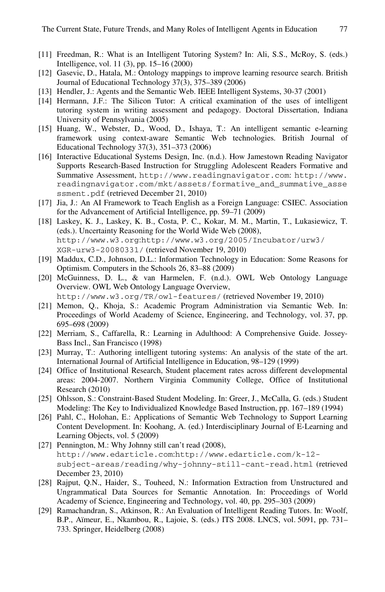- [11] Freedman, R.: What is an Intelligent Tutoring System? In: Ali, S.S., McRoy, S. (eds.) Intelligence, vol. 11 (3), pp. 15–16 (2000)
- [12] Gasevic, D., Hatala, M.: Ontology mappings to improve learning resource search. British Journal of Educational Technology 37(3), 375–389 (2006)
- [13] Hendler, J.: Agents and the Semantic Web. IEEE Intelligent Systems, 30-37 (2001)
- [14] Hermann, J.F.: The Silicon Tutor: A critical examination of the uses of intelligent tutoring system in writing assessment and pedagogy. Doctoral Dissertation, Indiana University of Pennsylvania (2005)
- [15] Huang, W., Webster, D., Wood, D., Ishaya, T.: An intelligent semantic e-learning framework using context-aware Semantic Web technologies. British Journal of Educational Technology 37(3), 351–373 (2006)
- [16] Interactive Educational Systems Design, Inc. (n.d.). How Jamestown Reading Navigator Supports Research-Based Instruction for Struggling Adolescent Readers Formative and Summative Assessment, http://www.readingnavigator.com: http://www. readingnavigator.com/mkt/assets/formative\_and\_summative\_asse ssment.pdf (retrieved December 21, 2010)
- [17] Jia, J.: An AI Framework to Teach English as a Foreign Language: CSIEC. Association for the Advancement of Artificial Intelligence, pp. 59–71 (2009)
- [18] Laskey, K. J., Laskey, K. B., Costa, P. C., Kokar, M. M., Martin, T., Lukasiewicz, T. (eds.). Uncertainty Reasoning for the World Wide Web (2008), http://www.w3.org:http://www.w3.org/2005/Incubator/urw3/ XGR-urw3-20080331/ (retrieved November 19, 2010)
- [19] Maddux, C.D., Johnson, D.L.: Information Technology in Education: Some Reasons for Optimism. Computers in the Schools 26, 83–88 (2009)
- [20] McGuinness, D. L., & van Harmelen, F. (n.d.). OWL Web Ontology Language Overview. OWL Web Ontology Language Overview, http://www.w3.org/TR/owl-features/ (retrieved November 19, 2010)
- [21] Memon, Q., Khoja, S.: Academic Program Administration via Semantic Web. In: Proceedings of World Academy of Science, Engineering, and Technology, vol. 37, pp. 695–698 (2009)
- [22] Merriam, S., Caffarella, R.: Learning in Adulthood: A Comprehensive Guide. Jossey-Bass Incl., San Francisco (1998)
- [23] Murray, T.: Authoring intelligent tutoring systems: An analysis of the state of the art. International Journal of Artificial Intelligence in Education, 98–129 (1999)
- [24] Office of Institutional Research, Student placement rates across different developmental areas: 2004-2007. Northern Virginia Community College, Office of Institutional Research (2010)
- [25] Ohlsson, S.: Constraint-Based Student Modeling. In: Greer, J., McCalla, G. (eds.) Student Modeling: The Key to Individualized Knowledge Based Instruction, pp. 167–189 (1994)
- [26] Pahl, C., Holohan, E.: Applications of Semantic Web Technology to Support Learning Content Development. In: Koohang, A. (ed.) Interdisciplinary Journal of E-Learning and Learning Objects, vol. 5 (2009)
- [27] Pennington, M.: Why Johnny still can't read (2008), http://www.edarticle.com:http://www.edarticle.com/k-12 subject-areas/reading/why-johnny-still-cant-read.html (retrieved December 23, 2010)
- [28] Rajput, Q.N., Haider, S., Touheed, N.: Information Extraction from Unstructured and Ungrammatical Data Sources for Semantic Annotation. In: Proceedings of World Academy of Science, Engineering and Technology, vol. 40, pp. 295–303 (2009)
- [29] Ramachandran, S., Atkinson, R.: An Evaluation of Intelligent Reading Tutors. In: Woolf, B.P., Aïmeur, E., Nkambou, R., Lajoie, S. (eds.) ITS 2008. LNCS, vol. 5091, pp. 731– 733. Springer, Heidelberg (2008)